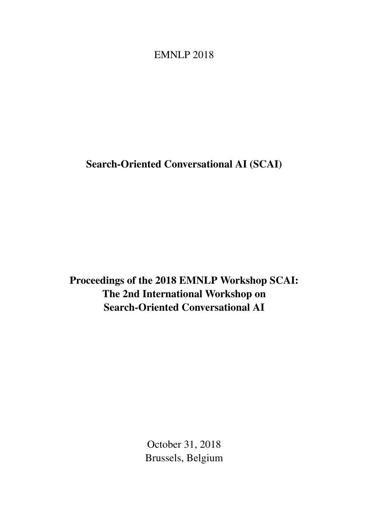# <span id="page-0-0"></span>EMNLP 2018

Search-Oriented Conversational AI (SCAI)

Proceedings of the 2018 EMNLP Workshop SCAI: The 2nd International Workshop on Search-Oriented Conversational AI

> October 31, 2018 Brussels, Belgium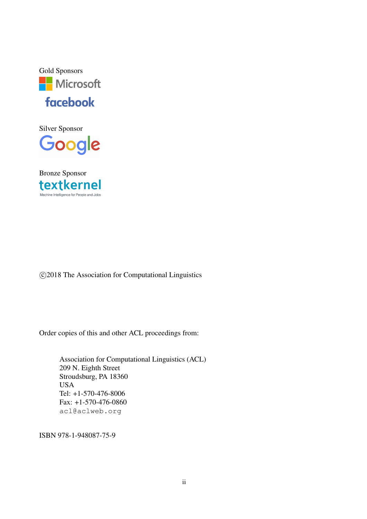

Silver Sponsor Google



c 2018 The Association for Computational Linguistics

Order copies of this and other ACL proceedings from:

Association for Computational Linguistics (ACL) 209 N. Eighth Street Stroudsburg, PA 18360 USA Tel: +1-570-476-8006 Fax: +1-570-476-0860 acl@aclweb.org

ISBN 978-1-948087-75-9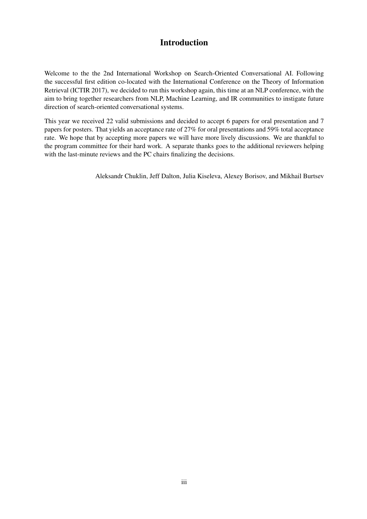### Introduction

Welcome to the the 2nd International Workshop on Search-Oriented Conversational AI. Following the successful first edition co-located with the International Conference on the Theory of Information Retrieval (ICTIR 2017), we decided to run this workshop again, this time at an NLP conference, with the aim to bring together researchers from NLP, Machine Learning, and IR communities to instigate future direction of search-oriented conversational systems.

This year we received 22 valid submissions and decided to accept 6 papers for oral presentation and 7 papers for posters. That yields an acceptance rate of 27% for oral presentations and 59% total acceptance rate. We hope that by accepting more papers we will have more lively discussions. We are thankful to the program committee for their hard work. A separate thanks goes to the additional reviewers helping with the last-minute reviews and the PC chairs finalizing the decisions.

Aleksandr Chuklin, Jeff Dalton, Julia Kiseleva, Alexey Borisov, and Mikhail Burtsev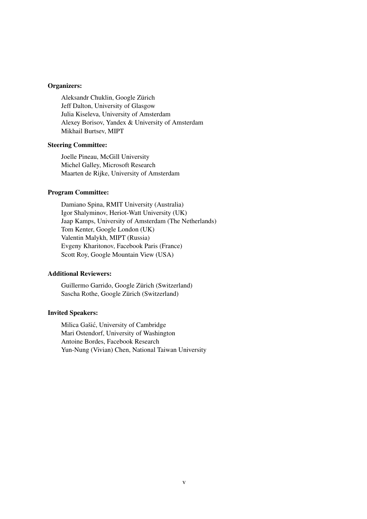### Organizers:

Aleksandr Chuklin, Google Zürich Jeff Dalton, University of Glasgow Julia Kiseleva, University of Amsterdam Alexey Borisov, Yandex & University of Amsterdam Mikhail Burtsev, MIPT

### Steering Committee:

Joelle Pineau, McGill University Michel Galley, Microsoft Research Maarten de Rijke, University of Amsterdam

### Program Committee:

Damiano Spina, RMIT University (Australia) Igor Shalyminov, Heriot-Watt University (UK) Jaap Kamps, University of Amsterdam (The Netherlands) Tom Kenter, Google London (UK) Valentin Malykh, MIPT (Russia) Evgeny Kharitonov, Facebook Paris (France) Scott Roy, Google Mountain View (USA)

### Additional Reviewers:

Guillermo Garrido, Google Zürich (Switzerland) Sascha Rothe, Google Zürich (Switzerland)

### Invited Speakers:

Milica Gašic, University of Cambridge ´ Mari Ostendorf, University of Washington Antoine Bordes, Facebook Research Yun-Nung (Vivian) Chen, National Taiwan University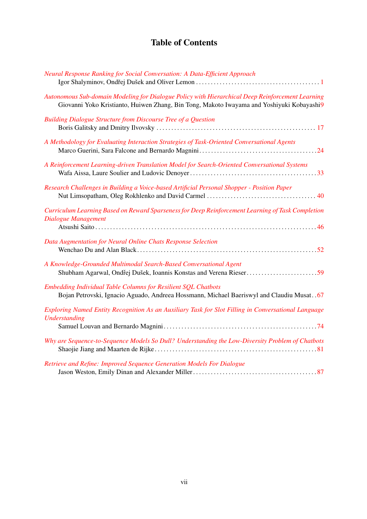## Table of Contents

| Neural Response Ranking for Social Conversation: A Data-Efficient Approach                                                                                                                    |
|-----------------------------------------------------------------------------------------------------------------------------------------------------------------------------------------------|
| Autonomous Sub-domain Modeling for Dialogue Policy with Hierarchical Deep Reinforcement Learning<br>Giovanni Yoko Kristianto, Huiwen Zhang, Bin Tong, Makoto Iwayama and Yoshiyuki Kobayashi9 |
| <b>Building Dialogue Structure from Discourse Tree of a Question</b>                                                                                                                          |
| A Methodology for Evaluating Interaction Strategies of Task-Oriented Conversational Agents                                                                                                    |
| A Reinforcement Learning-driven Translation Model for Search-Oriented Conversational Systems                                                                                                  |
| Research Challenges in Building a Voice-based Artificial Personal Shopper - Position Paper                                                                                                    |
| Curriculum Learning Based on Reward Sparseness for Deep Reinforcement Learning of Task Completion<br>Dialogue Management                                                                      |
| Data Augmentation for Neural Online Chats Response Selection                                                                                                                                  |
| A Knowledge-Grounded Multimodal Search-Based Conversational Agent                                                                                                                             |
| Embedding Individual Table Columns for Resilient SQL Chatbots<br>Bojan Petrovski, Ignacio Aguado, Andreea Hossmann, Michael Baeriswyl and Claudiu Musat. . 67                                 |
| Exploring Named Entity Recognition As an Auxiliary Task for Slot Filling in Conversational Language<br><b>Understanding</b>                                                                   |
| Why are Sequence-to-Sequence Models So Dull? Understanding the Low-Diversity Problem of Chatbots                                                                                              |
| Retrieve and Refine: Improved Sequence Generation Models For Dialogue                                                                                                                         |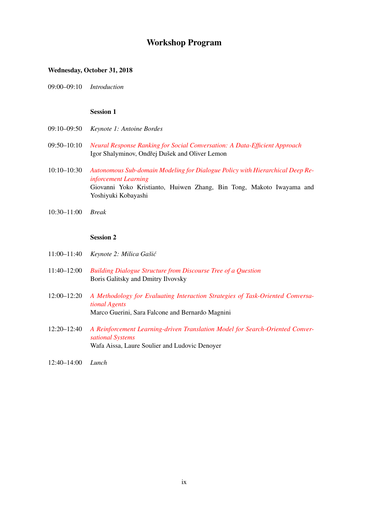### Workshop Program

### Wednesday, October 31, 2018

09:00–09:10 *Introduction*

### Session 1

- 09:10–09:50 *Keynote 1: Antoine Bordes*
- 09:50–10:10 *[Neural Response Ranking for Social Conversation: A Data-Efficient Approach](#page-0-0)* Igor Shalyminov, Ondřej Dušek and Oliver Lemon
- 10:10–10:30 *[Autonomous Sub-domain Modeling for Dialogue Policy with Hierarchical Deep Re](#page-0-0)[inforcement Learning](#page-0-0)* Giovanni Yoko Kristianto, Huiwen Zhang, Bin Tong, Makoto Iwayama and Yoshiyuki Kobayashi
- 10:30–11:00 *Break*

#### Session 2

- 11:00–11:40 *Keynote 2: Milica Gaši´c*
- 11:40–12:00 *[Building Dialogue Structure from Discourse Tree of a Question](#page-0-0)* Boris Galitsky and Dmitry Ilvovsky
- 12:00–12:20 *[A Methodology for Evaluating Interaction Strategies of Task-Oriented Conversa](#page-0-0)[tional Agents](#page-0-0)* Marco Guerini, Sara Falcone and Bernardo Magnini
- 12:20–12:40 *[A Reinforcement Learning-driven Translation Model for Search-Oriented Conver](#page-0-0)[sational Systems](#page-0-0)* Wafa Aissa, Laure Soulier and Ludovic Denoyer
- 12:40–14:00 *Lunch*